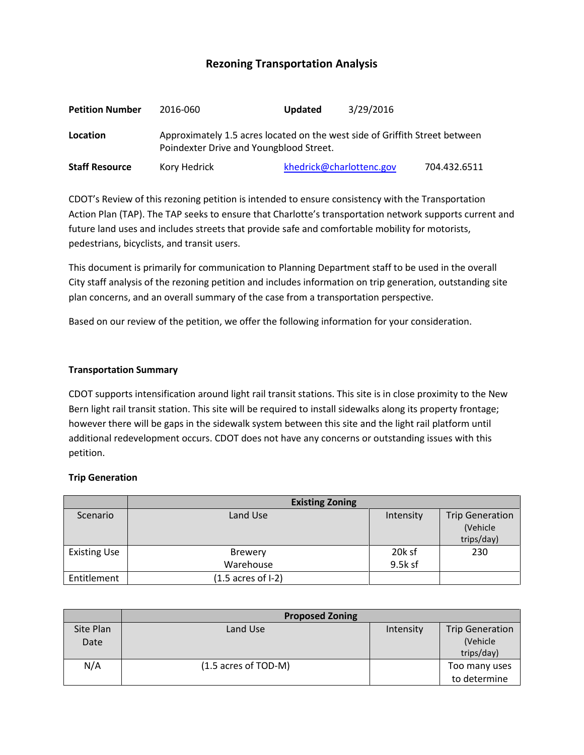# **Rezoning Transportation Analysis**

| <b>Petition Number</b> | 2016-060                                                                                                               | 3/29/2016<br><b>Updated</b> |              |  |
|------------------------|------------------------------------------------------------------------------------------------------------------------|-----------------------------|--------------|--|
| Location               | Approximately 1.5 acres located on the west side of Griffith Street between<br>Poindexter Drive and Youngblood Street. |                             |              |  |
| <b>Staff Resource</b>  | Kory Hedrick                                                                                                           | khedrick@charlottenc.gov    | 704.432.6511 |  |

CDOT's Review of this rezoning petition is intended to ensure consistency with the Transportation Action Plan (TAP). The TAP seeks to ensure that Charlotte's transportation network supports current and future land uses and includes streets that provide safe and comfortable mobility for motorists, pedestrians, bicyclists, and transit users.

This document is primarily for communication to Planning Department staff to be used in the overall City staff analysis of the rezoning petition and includes information on trip generation, outstanding site plan concerns, and an overall summary of the case from a transportation perspective.

Based on our review of the petition, we offer the following information for your consideration.

#### **Transportation Summary**

CDOT supports intensification around light rail transit stations. This site is in close proximity to the New Bern light rail transit station. This site will be required to install sidewalks along its property frontage; however there will be gaps in the sidewalk system between this site and the light rail platform until additional redevelopment occurs. CDOT does not have any concerns or outstanding issues with this petition.

#### **Trip Generation**

|                     | <b>Existing Zoning</b>        |           |                        |  |
|---------------------|-------------------------------|-----------|------------------------|--|
| Scenario            | Land Use                      | Intensity | <b>Trip Generation</b> |  |
|                     |                               |           | (Vehicle)              |  |
|                     |                               |           | trips/day)             |  |
| <b>Existing Use</b> | <b>Brewery</b>                | 20k sf    | 230                    |  |
|                     | Warehouse                     | 9.5k sf   |                        |  |
| Entitlement         | $(1.5 \text{ acres of } I-2)$ |           |                        |  |

|           | <b>Proposed Zoning</b> |           |                        |  |
|-----------|------------------------|-----------|------------------------|--|
| Site Plan | Land Use               | Intensity | <b>Trip Generation</b> |  |
| Date      |                        |           | (Vehicle               |  |
|           |                        |           | trips/day)             |  |
| N/A       | (1.5 acres of TOD-M)   |           | Too many uses          |  |
|           |                        |           | to determine           |  |